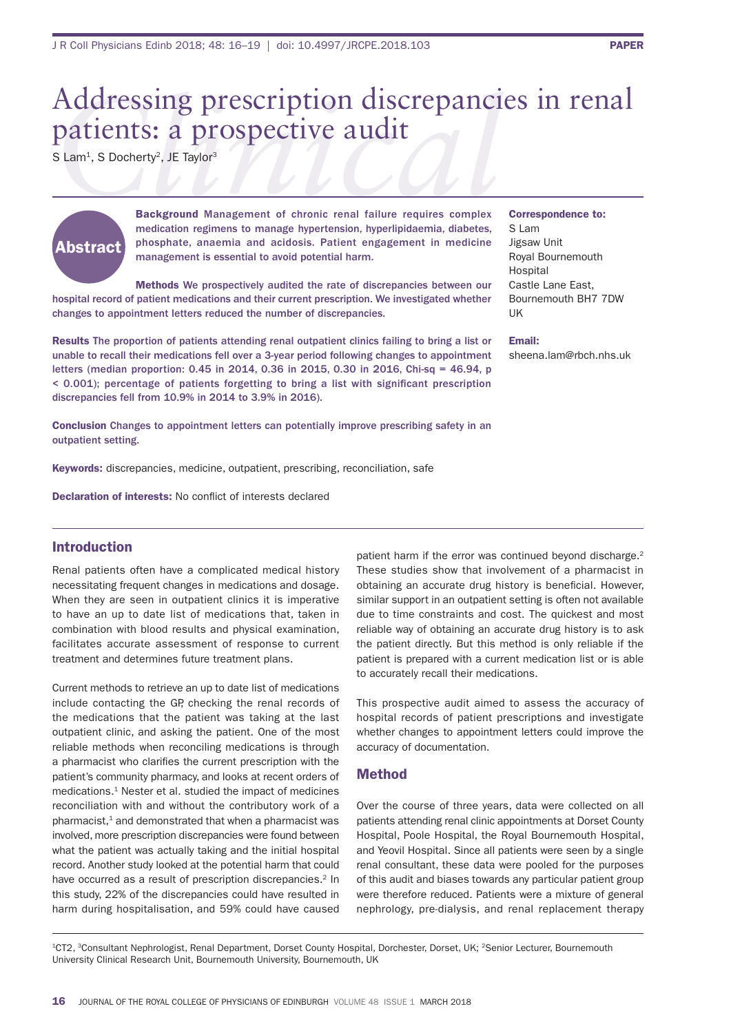# Addressing prescription discrepancies in renal patients: a prospective audit

S Lam<sup>1</sup>, S Docherty<sup>2</sup>, JE Taylor<sup>3</sup>



Background Management of chronic renal failure requires complex medication regimens to manage hypertension, hyperlipidaemia, diabetes, phosphate, anaemia and acidosis. Patient engagement in medicine management is essential to avoid potential harm.

Methods We prospectively audited the rate of discrepancies between our hospital record of patient medications and their current prescription. We investigated whether changes to appointment letters reduced the number of discrepancies.

Results The proportion of patients attending renal outpatient clinics failing to bring a list or unable to recall their medications fell over a 3-year period following changes to appointment letters (median proportion: 0.45 in 2014, 0.36 in 2015, 0.30 in 2016, Chi-sq = 46.94, p < 0.001); percentage of patients forgetting to bring a list with significant prescription discrepancies fell from 10.9% in 2014 to 3.9% in 2016).

Conclusion Changes to appointment letters can potentially improve prescribing safety in an outpatient setting.

Keywords: discrepancies, medicine, outpatient, prescribing, reconciliation, safe

Declaration of interests: No conflict of interests declared

# Introduction

Renal patients often have a complicated medical history necessitating frequent changes in medications and dosage. When they are seen in outpatient clinics it is imperative to have an up to date list of medications that, taken in combination with blood results and physical examination, facilitates accurate assessment of response to current treatment and determines future treatment plans.

Current methods to retrieve an up to date list of medications include contacting the GP, checking the renal records of the medications that the patient was taking at the last outpatient clinic, and asking the patient. One of the most reliable methods when reconciling medications is through a pharmacist who clarifies the current prescription with the patient's community pharmacy, and looks at recent orders of medications.1 Nester et al. studied the impact of medicines reconciliation with and without the contributory work of a pharmacist, $1$  and demonstrated that when a pharmacist was involved, more prescription discrepancies were found between what the patient was actually taking and the initial hospital record. Another study looked at the potential harm that could have occurred as a result of prescription discrepancies.<sup>2</sup> In this study, 22% of the discrepancies could have resulted in harm during hospitalisation, and 59% could have caused

patient harm if the error was continued beyond discharge.<sup>2</sup> These studies show that involvement of a pharmacist in obtaining an accurate drug history is beneficial. However, similar support in an outpatient setting is often not available due to time constraints and cost. The quickest and most reliable way of obtaining an accurate drug history is to ask the patient directly. But this method is only reliable if the patient is prepared with a current medication list or is able to accurately recall their medications.

This prospective audit aimed to assess the accuracy of hospital records of patient prescriptions and investigate whether changes to appointment letters could improve the accuracy of documentation.

## Method

Over the course of three years, data were collected on all patients attending renal clinic appointments at Dorset County Hospital, Poole Hospital, the Royal Bournemouth Hospital, and Yeovil Hospital. Since all patients were seen by a single renal consultant, these data were pooled for the purposes of this audit and biases towards any particular patient group were therefore reduced. Patients were a mixture of general nephrology, pre-dialysis, and renal replacement therapy

1CT2, 3Consultant Nephrologist, Renal Department, Dorset County Hospital, Dorchester, Dorset, UK; 2Senior Lecturer, Bournemouth University Clinical Research Unit, Bournemouth University, Bournemouth, UK

# Correspondence to:

S Lam Jigsaw Unit Royal Bournemouth Hospital Castle Lane East, Bournemouth BH7 7DW UK

#### Email:

sheena.lam@rbch.nhs.uk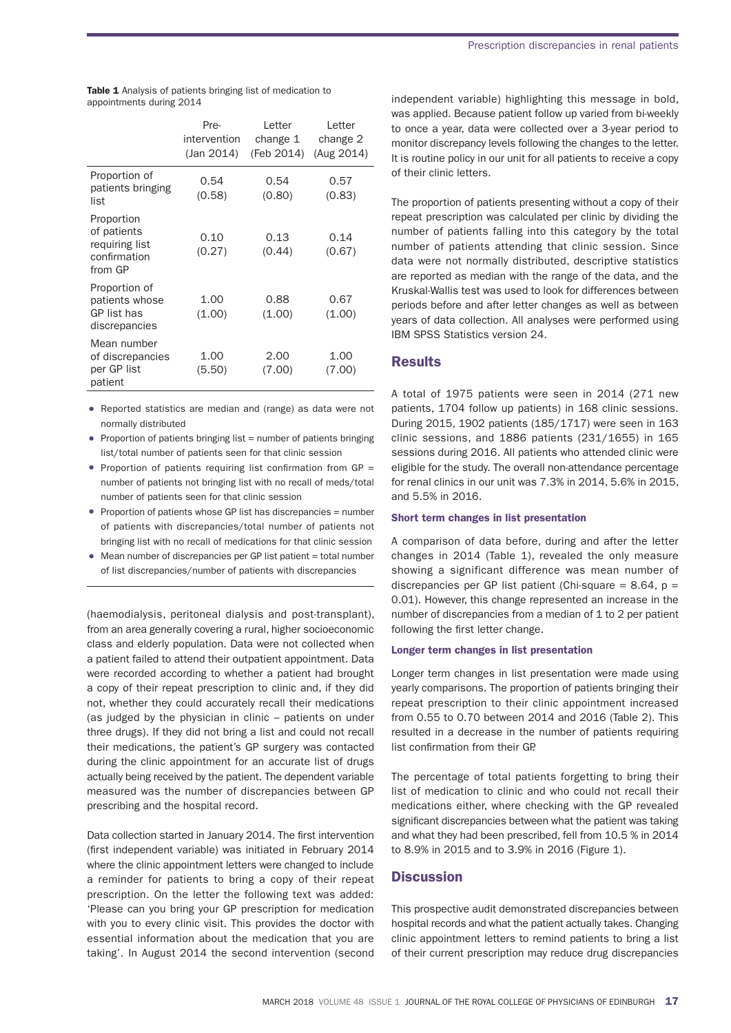|                                                                        | Pre-<br>intervention<br>(Jan 2014) | Letter<br>change 1<br>(Feb 2014) | Letter<br>change 2<br>(Aug 2014) |
|------------------------------------------------------------------------|------------------------------------|----------------------------------|----------------------------------|
| Proportion of<br>patients bringing<br>list                             | 0.54<br>(0.58)                     | 0.54<br>(0.80)                   | 0.57<br>(0.83)                   |
| Proportion<br>of patients<br>requiring list<br>confirmation<br>from GP | 0.10<br>(0.27)                     | 0.13<br>(0.44)                   | 0.14<br>(0.67)                   |
| Proportion of<br>patients whose<br>GP list has<br>discrepancies        | 1.00<br>(1.00)                     | 0.88<br>(1.00)                   | 0.67<br>(1.00)                   |
| Mean number<br>of discrepancies<br>per GP list<br>patient              | 1.00<br>(5.50)                     | 2.00<br>(7.00)                   | 1.00<br>(7.00)                   |

Table 1 Analysis of patients bringing list of medication to appointments during 2014

- Reported statistics are median and (range) as data were not normally distributed
- Proportion of patients bringing list  $=$  number of patients bringing list/total number of patients seen for that clinic session
- Proportion of patients requiring list confirmation from  $GP =$ number of patients not bringing list with no recall of meds/total number of patients seen for that clinic session
- Proportion of patients whose GP list has discrepancies = number of patients with discrepancies/total number of patients not bringing list with no recall of medications for that clinic session
- Mean number of discrepancies per GP list patient = total number of list discrepancies/number of patients with discrepancies

(haemodialysis, peritoneal dialysis and post-transplant), from an area generally covering a rural, higher socioeconomic class and elderly population. Data were not collected when a patient failed to attend their outpatient appointment. Data were recorded according to whether a patient had brought a copy of their repeat prescription to clinic and, if they did not, whether they could accurately recall their medications (as judged by the physician in clinic – patients on under three drugs). If they did not bring a list and could not recall their medications, the patient's GP surgery was contacted during the clinic appointment for an accurate list of drugs actually being received by the patient. The dependent variable measured was the number of discrepancies between GP prescribing and the hospital record.

Data collection started in January 2014. The first intervention (first independent variable) was initiated in February 2014 where the clinic appointment letters were changed to include a reminder for patients to bring a copy of their repeat prescription. On the letter the following text was added: 'Please can you bring your GP prescription for medication with you to every clinic visit. This provides the doctor with essential information about the medication that you are taking'. In August 2014 the second intervention (second

independent variable) highlighting this message in bold, was applied. Because patient follow up varied from bi-weekly to once a year, data were collected over a 3-year period to monitor discrepancy levels following the changes to the letter. It is routine policy in our unit for all patients to receive a copy of their clinic letters.

The proportion of patients presenting without a copy of their repeat prescription was calculated per clinic by dividing the number of patients falling into this category by the total number of patients attending that clinic session. Since data were not normally distributed, descriptive statistics are reported as median with the range of the data, and the Kruskal-Wallis test was used to look for differences between periods before and after letter changes as well as between years of data collection. All analyses were performed using IBM SPSS Statistics version 24.

## **Results**

A total of 1975 patients were seen in 2014 (271 new patients, 1704 follow up patients) in 168 clinic sessions. During 2015, 1902 patients (185/1717) were seen in 163 clinic sessions, and 1886 patients (231/1655) in 165 sessions during 2016. All patients who attended clinic were eligible for the study. The overall non-attendance percentage for renal clinics in our unit was 7.3% in 2014, 5.6% in 2015, and 5.5% in 2016.

#### Short term changes in list presentation

A comparison of data before, during and after the letter changes in 2014 (Table 1), revealed the only measure showing a significant difference was mean number of discrepancies per GP list patient (Chi-square =  $8.64$ , p = 0.01). However, this change represented an increase in the number of discrepancies from a median of 1 to 2 per patient following the first letter change.

#### Longer term changes in list presentation

Longer term changes in list presentation were made using yearly comparisons. The proportion of patients bringing their repeat prescription to their clinic appointment increased from 0.55 to 0.70 between 2014 and 2016 (Table 2). This resulted in a decrease in the number of patients requiring list confirmation from their GP.

The percentage of total patients forgetting to bring their list of medication to clinic and who could not recall their medications either, where checking with the GP revealed significant discrepancies between what the patient was taking and what they had been prescribed, fell from 10.5 % in 2014 to 8.9% in 2015 and to 3.9% in 2016 (Figure 1).

## **Discussion**

This prospective audit demonstrated discrepancies between hospital records and what the patient actually takes. Changing clinic appointment letters to remind patients to bring a list of their current prescription may reduce drug discrepancies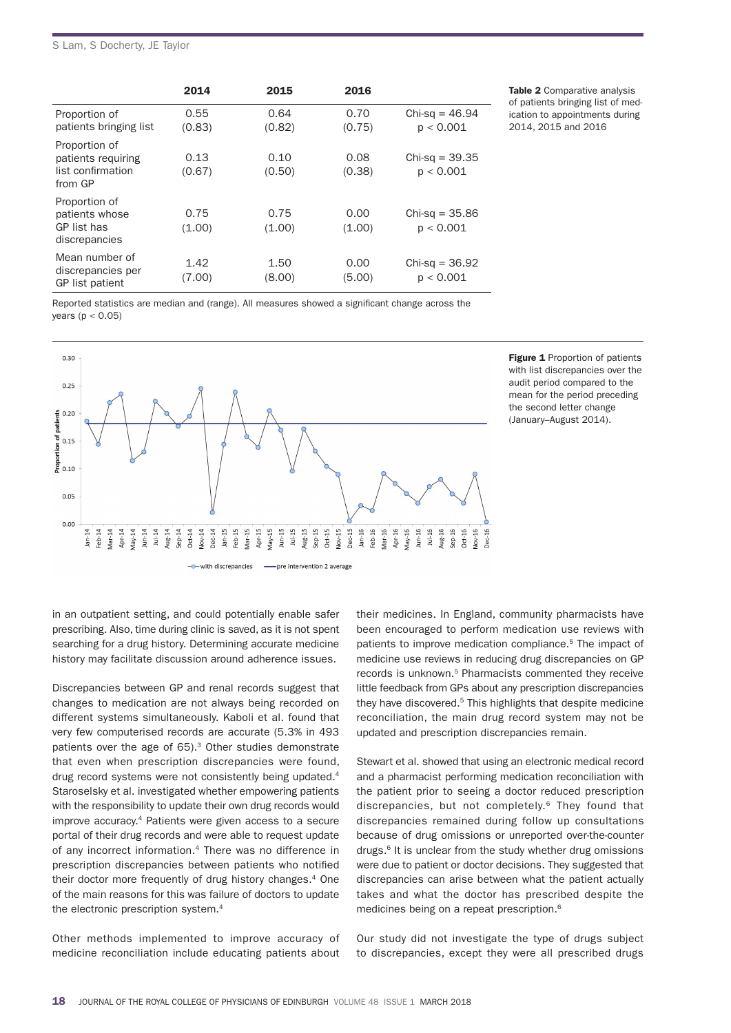#### S Lam, S Docherty, JE Taylor

|                                                                     | 2014           | 2015           | 2016           |                               |
|---------------------------------------------------------------------|----------------|----------------|----------------|-------------------------------|
| Proportion of<br>patients bringing list                             | 0.55<br>(0.83) | 0.64<br>(0.82) | 0.70<br>(0.75) | $Chi-sq = 46.94$<br>p < 0.001 |
| Proportion of<br>patients requiring<br>list confirmation<br>from GP | 0.13<br>(0.67) | 0.10<br>(0.50) | 0.08<br>(0.38) | $Chi-sq = 39.35$<br>p < 0.001 |
| Proportion of<br>patients whose<br>GP list has<br>discrepancies     | 0.75<br>(1.00) | 0.75<br>(1.00) | 0.00<br>(1.00) | $Chi-sq = 35.86$<br>p < 0.001 |
| Mean number of<br>discrepancies per<br>GP list patient              | 1.42<br>(7.00) | 1.50<br>(8.00) | 0.00<br>(5.00) | $Chi-sq = 36.92$<br>p < 0.001 |

Table 2 Comparative analysis of patients bringing list of medication to appointments during 2014, 2015 and 2016

Reported statistics are median and (range). All measures showed a significant change across the years ( $p < 0.05$ )



Figure 1 Proportion of patients with list discrepancies over the audit period compared to the mean for the period preceding the second letter change (January–August 2014).

in an outpatient setting, and could potentially enable safer prescribing. Also, time during clinic is saved, as it is not spent searching for a drug history. Determining accurate medicine history may facilitate discussion around adherence issues.

Discrepancies between GP and renal records suggest that changes to medication are not always being recorded on different systems simultaneously. Kaboli et al. found that very few computerised records are accurate (5.3% in 493 patients over the age of 65).<sup>3</sup> Other studies demonstrate that even when prescription discrepancies were found, drug record systems were not consistently being updated.<sup>4</sup> Staroselsky et al. investigated whether empowering patients with the responsibility to update their own drug records would improve accuracy.4 Patients were given access to a secure portal of their drug records and were able to request update of any incorrect information.<sup>4</sup> There was no difference in prescription discrepancies between patients who notified their doctor more frequently of drug history changes.<sup>4</sup> One of the main reasons for this was failure of doctors to update the electronic prescription system.<sup>4</sup>

Other methods implemented to improve accuracy of medicine reconciliation include educating patients about their medicines. In England, community pharmacists have been encouraged to perform medication use reviews with patients to improve medication compliance.<sup>5</sup> The impact of medicine use reviews in reducing drug discrepancies on GP records is unknown.5 Pharmacists commented they receive little feedback from GPs about any prescription discrepancies they have discovered.<sup>5</sup> This highlights that despite medicine reconciliation, the main drug record system may not be updated and prescription discrepancies remain.

Stewart et al. showed that using an electronic medical record and a pharmacist performing medication reconciliation with the patient prior to seeing a doctor reduced prescription discrepancies, but not completely.6 They found that discrepancies remained during follow up consultations because of drug omissions or unreported over-the-counter drugs.<sup>6</sup> It is unclear from the study whether drug omissions were due to patient or doctor decisions. They suggested that discrepancies can arise between what the patient actually takes and what the doctor has prescribed despite the medicines being on a repeat prescription.<sup>6</sup>

Our study did not investigate the type of drugs subject to discrepancies, except they were all prescribed drugs